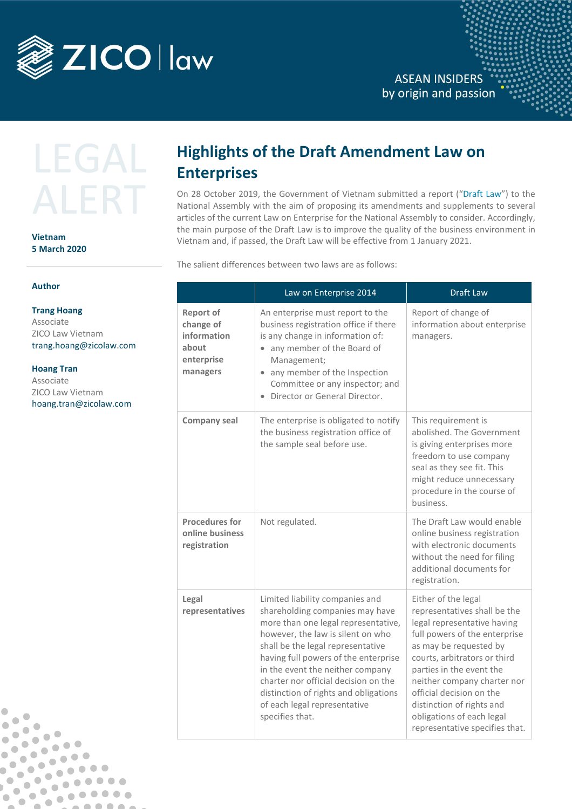

**ASEAN INSIDERS** by origin and passion

# LEGA

## **Vietnam 5 March 2020**

## **Author**

**Trang Hoang**  Associate ZICO Law Vietnam [trang.hoang@zicolaw.com](mailto:trang.hoang@zicolaw.com)

### **Hoang Tran**

 $\overline{\phantom{a}}$ 

 $\overline{\phantom{a}}$ 

 $\bullet$ 

 $\bullet$  $\overline{\phantom{a}}$ 

 $\bullet$ 

 $\sqrt{2}$ 

 $\bullet$ 

 $\bullet$  $\bullet$ 

 $\bullet$  $\bullet$ 

 $\sqrt{2}$ 

 $\blacksquare$ 

 $\blacksquare$  $\bullet$ 

 $\bullet$  $\blacksquare$ 

 $\bullet$  $\bullet$ 

O

 $\qquad \qquad \blacksquare$ 

 $\bullet$ 

 $\begin{array}{ccc} \bullet & \bullet & \bullet \\ \bullet & \bullet & \bullet \end{array}$ 

 $\bullet$  $\bullet$ 

 $\bullet$   $\bullet$ 

 $\blacksquare$ 

 $\bullet$ 

 $\bullet\bullet\bullet\bullet$ 

 $\begin{array}{ccccc}\n\bullet & \bullet & \bullet & \bullet & \bullet & \bullet\n\end{array}$ 

 $. 000000$ 

 $\Box$ 

 $\bullet\bullet$ 

Associate ZICO Law Vietnam [hoang.tran@zicolaw.com](mailto:hoang.tran@zicolaw.com)

# **Highlights of the Draft Amendment Law on Enterprises**

On 28 October 2019, the Government of Vietnam submitted a report ("Draft Law") to the National Assembly with the aim of proposing its amendments and supplements to several articles of the current Law on Enterprise for the National Assembly to consider. Accordingly, the main purpose of the Draft Law is to improve the quality of the business environment in Vietnam and, if passed, the Draft Law will be effective from 1 January 2021.

The salient differences between two laws are as follows:

|                                                                                 | Law on Enterprise 2014                                                                                                                                                                                                                                                                                                                                                                              | <b>Draft Law</b>                                                                                                                                                                                                                                                                                                                                                 |
|---------------------------------------------------------------------------------|-----------------------------------------------------------------------------------------------------------------------------------------------------------------------------------------------------------------------------------------------------------------------------------------------------------------------------------------------------------------------------------------------------|------------------------------------------------------------------------------------------------------------------------------------------------------------------------------------------------------------------------------------------------------------------------------------------------------------------------------------------------------------------|
| <b>Report of</b><br>change of<br>information<br>about<br>enterprise<br>managers | An enterprise must report to the<br>business registration office if there<br>is any change in information of:<br>• any member of the Board of<br>Management;<br>• any member of the Inspection<br>Committee or any inspector; and<br>Director or General Director.                                                                                                                                  | Report of change of<br>information about enterprise<br>managers.                                                                                                                                                                                                                                                                                                 |
| <b>Company seal</b>                                                             | The enterprise is obligated to notify<br>the business registration office of<br>the sample seal before use.                                                                                                                                                                                                                                                                                         | This requirement is<br>abolished. The Government<br>is giving enterprises more<br>freedom to use company<br>seal as they see fit. This<br>might reduce unnecessary<br>procedure in the course of<br>business.                                                                                                                                                    |
| <b>Procedures for</b><br>online business<br>registration                        | Not regulated.                                                                                                                                                                                                                                                                                                                                                                                      | The Draft Law would enable<br>online business registration<br>with electronic documents<br>without the need for filing<br>additional documents for<br>registration.                                                                                                                                                                                              |
| Legal<br>representatives                                                        | Limited liability companies and<br>shareholding companies may have<br>more than one legal representative,<br>however, the law is silent on who<br>shall be the legal representative<br>having full powers of the enterprise<br>in the event the neither company<br>charter nor official decision on the<br>distinction of rights and obligations<br>of each legal representative<br>specifies that. | Either of the legal<br>representatives shall be the<br>legal representative having<br>full powers of the enterprise<br>as may be requested by<br>courts, arbitrators or third<br>parties in the event the<br>neither company charter nor<br>official decision on the<br>distinction of rights and<br>obligations of each legal<br>representative specifies that. |